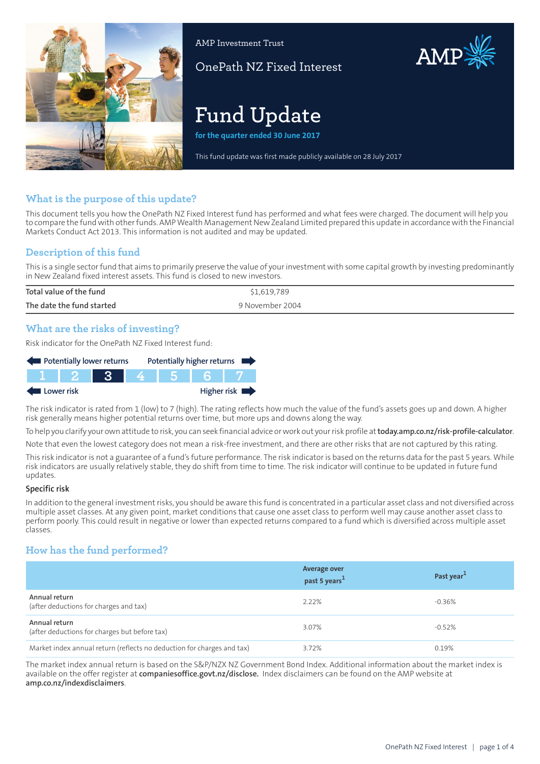

AMP Investment Trust

OnePath NZ Fixed Interest

# **Fund Update**

**for the quarter ended 30 June 2017**

This fund update was first made publicly available on 28 July 2017

## **What is the purpose of this update?**

This document tells you how the OnePath NZ Fixed Interest fund has performed and what fees were charged. The document will help you to compare the fund with other funds. AMP Wealth Management New Zealand Limited prepared this update in accordance with the Financial Markets Conduct Act 2013. This information is not audited and may be updated.

## **Description of this fund**

This is a single sector fund that aims to primarily preserve the value of your investment with some capital growth by investing predominantly in New Zealand fixed interest assets. This fund is closed to new investors.

| Total value of the fund   | \$1,619,789     |
|---------------------------|-----------------|
| The date the fund started | 9 November 2004 |
|                           |                 |

## **What are the risks of investing?**

Risk indicator for the OnePath NZ Fixed Interest fund:



The risk indicator is rated from 1 (low) to 7 (high). The rating reflects how much the value of the fund's assets goes up and down. A higher risk generally means higher potential returns over time, but more ups and downs along the way.

To help you clarify your own attitude to risk, you can seek financial advice orwork out yourrisk profile at**[today.amp.co.nz/risk-profile-calculator](http://today.amp.co.nz/risk-profile-calculator)**.

Note that even the lowest category does not mean a risk-free investment, and there are other risks that are not captured by this rating.

This risk indicator is not a guarantee of a fund's future performance. The risk indicator is based on the returns data for the past 5 years. While risk indicators are usually relatively stable, they do shift from time to time. The risk indicator will continue to be updated in future fund updates.

#### **Specific risk**

In addition to the general investmentrisks, you should be aware this fund is concentrated in a particular asset class and not diversified across multiple asset classes. At any given point, market conditions that cause one asset class to perform well may cause another asset class to perform poorly. This could result in negative or lower than expected returns compared to a fund which is diversified across multiple asset classes.

## **How has the fund performed?**

|                                                                        | <b>Average over</b><br>past 5 years <sup>1</sup> | Past year <sup>1</sup> |
|------------------------------------------------------------------------|--------------------------------------------------|------------------------|
| Annual return<br>(after deductions for charges and tax)                | 2.22%                                            | $-0.36%$               |
| Annual return<br>(after deductions for charges but before tax)         | 3.07%                                            | $-0.52%$               |
| Market index annual return (reflects no deduction for charges and tax) | 3.72%                                            | 0.19%                  |

The market index annual return is based on the S&P/NZX NZ Government Bond Index. Additional information about the market index is available on the offer register at **[companiesoffice.govt.nz/disclose](http://companiesoffice.govt.nz/disclose).** Index disclaimers can be found on the AMP website at **[amp.co.nz/indexdisclaimers](http://amp.co.nz/indexdisclaimers)**.

AMP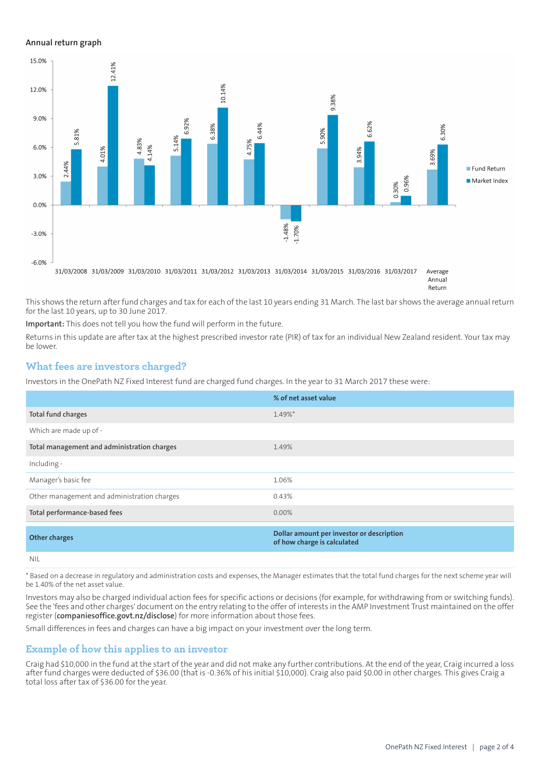#### **Annual return graph**



Annual Return

This shows the return after fund charges and tax for each of the last 10 years ending 31 March. The last bar shows the average annual return for the last 10 years, up to 30 June 2017.

**Important:** This does not tell you how the fund will perform in the future.

Returns in this update are after tax at the highest prescribed investor rate (PIR) of tax for an individual New Zealand resident. Your tax may be lower.

### **What fees are investors charged?**

Investors in the OnePath NZ Fixed Interest fund are charged fund charges. In the year to 31 March 2017 these were:

|                                             | % of net asset value                                                     |
|---------------------------------------------|--------------------------------------------------------------------------|
| Total fund charges                          | 1.49%*                                                                   |
| Which are made up of -                      |                                                                          |
| Total management and administration charges | 1.49%                                                                    |
| Including -                                 |                                                                          |
| Manager's basic fee                         | 1.06%                                                                    |
| Other management and administration charges | 0.43%                                                                    |
| Total performance-based fees                | $0.00\%$                                                                 |
| <b>Other charges</b>                        | Dollar amount per investor or description<br>of how charge is calculated |
| <b>NIL</b>                                  |                                                                          |

\* Based on a decrease in regulatory and administration costs and expenses, the Manager estimates that the total fund charges for the next scheme year will be 1.40% of the net asset value.

Investors may also be charged individual action fees for specific actions or decisions (for example, for withdrawing from or switching funds). See the 'fees and other charges' document on the entry relating to the offer of interests in the AMP Investment Trust maintained on the offer register (**[companiesoffice.govt.nz/disclose](http://companiesoffice.govt.nz/disclose)**) for more information about those fees.

Small differences in fees and charges can have a big impact on your investment over the long term.

#### **Example of how this applies to an investor**

Craig had \$10,000 in the fund at the start of the year and did not make any further contributions. At the end of the year, Craig incurred a loss after fund charges were deducted of \$36.00 (that is -0.36% of his initial \$10,000). Craig also paid \$0.00 in other charges. This gives Craig a total loss after tax of \$36.00 for the year.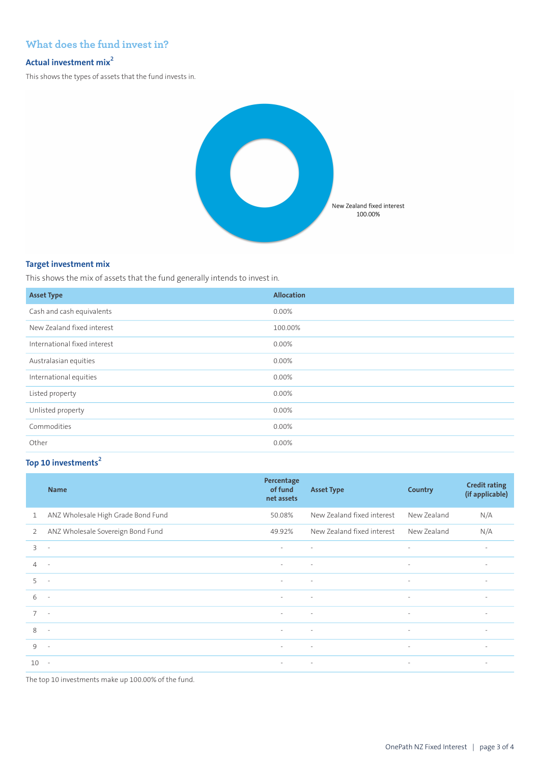## **What does the fund invest in?**

## **Actual investment mix<sup>2</sup>**

This shows the types of assets that the fund invests in.



### **Target investment mix**

This shows the mix of assets that the fund generally intends to invest in.

| <b>Asset Type</b>            | <b>Allocation</b> |
|------------------------------|-------------------|
| Cash and cash equivalents    | 0.00%             |
| New Zealand fixed interest   | 100.00%           |
| International fixed interest | 0.00%             |
| Australasian equities        | 0.00%             |
| International equities       | 0.00%             |
| Listed property              | 0.00%             |
| Unlisted property            | 0.00%             |
| Commodities                  | 0.00%             |
| Other                        | 0.00%             |

## **Top 10 investments<sup>2</sup>**

|                | <b>Name</b>                        | Percentage<br>of fund<br>net assets | <b>Asset Type</b>          | Country                  | <b>Credit rating</b><br>(if applicable) |
|----------------|------------------------------------|-------------------------------------|----------------------------|--------------------------|-----------------------------------------|
| $\mathbf{1}$   | ANZ Wholesale High Grade Bond Fund | 50.08%                              | New Zealand fixed interest | New Zealand              | N/A                                     |
| 2              | ANZ Wholesale Sovereign Bond Fund  | 49.92%                              | New Zealand fixed interest | New Zealand              | N/A                                     |
| 3              | $\overline{\phantom{a}}$           | $\overline{\phantom{a}}$            | $\sim$                     | $\overline{\phantom{a}}$ | $\overline{\phantom{a}}$                |
| $\overline{4}$ | $\sim$                             | $\sim$                              | $\sim$                     | $\overline{\phantom{a}}$ | $\sim$                                  |
| 5              | $\overline{\phantom{a}}$           | $\sim$                              | $\sim$                     | $\sim$                   | $\sim$                                  |
| 6              | $\sim$                             | $\sim$                              | $\sim$                     | $\sim$                   | $\overline{\phantom{a}}$                |
| $7^{\circ}$    | $\sim$                             | $\sim$                              | $\sim$                     | $\sim$                   | $\overline{\phantom{a}}$                |
| 8              | $\sim$                             | $\sim$                              | $\sim$                     | $\overline{\phantom{a}}$ | $\overline{\phantom{a}}$                |
| 9              | $\overline{\phantom{a}}$           | $\sim$                              | $\sim$                     | $\sim$                   | $\overline{\phantom{a}}$                |
| 10             | $\sim$                             | $\sim$                              | $\sim$                     | $\overline{\phantom{a}}$ | $\overline{\phantom{a}}$                |

The top 10 investments make up 100.00% of the fund.